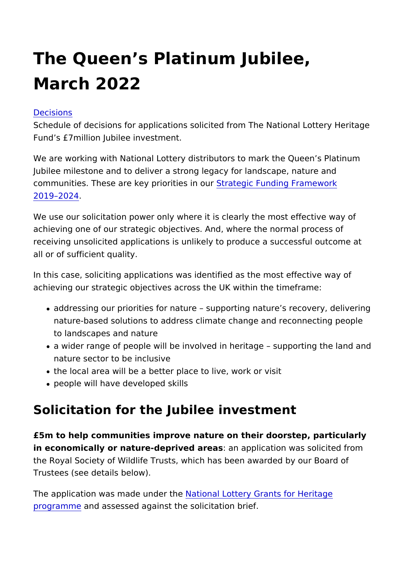# The Queen s Platinum Jubilee, March 2022

#### [Decisio](https://www.heritagefund.org.uk/about/decisions)ns

Schedule of decisions for applications solicited from The Nation Fund s £7million Jubilee investment.

We are working with National Lottery distributors to mark the Q Jubilee milestone and to deliver a strong legacy for landscape, communities. These are key pri Strinta esgin Funding Framework [2019 20](https://www.heritagefund.org.uk/about/strategic-funding-framework-2019-2024)24 .

We use our solicitation power only where it is clearly the most achieving one of our strategic objectives. And, where the norma receiving unsolicited applications is unlikely to produce a succ all or of sufficient quality.

In this case, soliciting applications was identified as the most achieving our strategic objectives across the UK within the time

- addressing our priorities for nature supporting nature s re nature-based solutions to address climate change and recon to landscapes and nature
- a wider range of people will be involved in heritage suppo nature sector to be inclusive
- the local area will be a better place to live, work or visit
- people will have developed skills

## Solicitation for the Jubilee investment

£5m to help communities improve nature on their doorstep, part in economically or nature-deprived arapslication was solicited f the Royal Society of Wildlife Trusts, which has been awarded b Trustees (see details below).

The application was made National Alottery Grants for Heritage [program](https://www.heritagefund.org.uk/funding/priorities-national-lottery-grants-heritage)mend assessed against the solicitation brief.